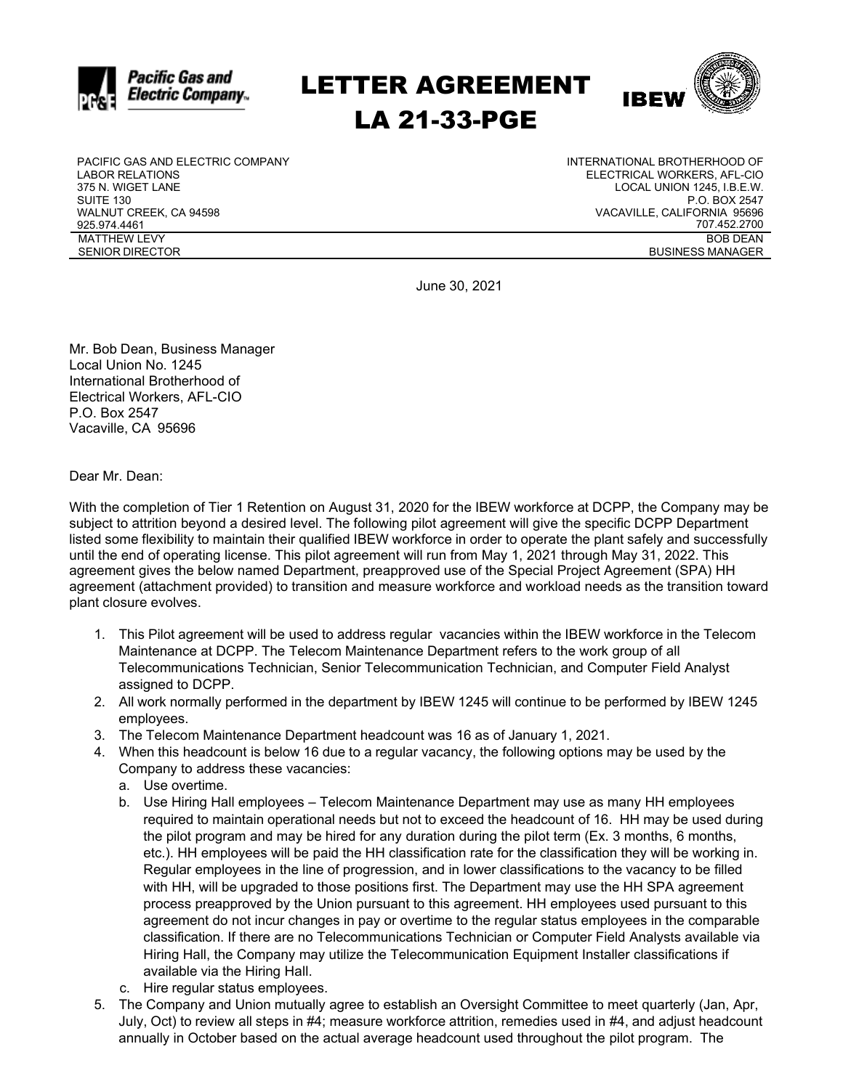

## LETTER AGREEMENT LA 21-33-PGE



PACIFIC GAS AND ELECTRIC COMPANY LABOR RELATIONS 375 N. WIGET LANE SUITE 130 WALNUT CREEK, CA 94598 925.974.4461 MATTHEW LEVY SENIOR DIRECTOR

INTERNATIONAL BROTHERHOOD OF ELECTRICAL WORKERS, AFL-CIO LOCAL UNION 1245, I.B.E.W. P.O. BOX 2547 VACAVILLE, CALIFORNIA 95696 707.452.2700 BOB DEAN BUSINESS MANAGER

June 30, 2021

Mr. Bob Dean, Business Manager Local Union No. 1245 International Brotherhood of Electrical Workers, AFL-CIO P.O. Box 2547 Vacaville, CA 95696

Dear Mr. Dean:

With the completion of Tier 1 Retention on August 31, 2020 for the IBEW workforce at DCPP, the Company may be subject to attrition beyond a desired level. The following pilot agreement will give the specific DCPP Department listed some flexibility to maintain their qualified IBEW workforce in order to operate the plant safely and successfully until the end of operating license. This pilot agreement will run from May 1, 2021 through May 31, 2022. This agreement gives the below named Department, preapproved use of the Special Project Agreement (SPA) HH agreement (attachment provided) to transition and measure workforce and workload needs as the transition toward plant closure evolves.

- 1. This Pilot agreement will be used to address regular vacancies within the IBEW workforce in the Telecom Maintenance at DCPP. The Telecom Maintenance Department refers to the work group of all Telecommunications Technician, Senior Telecommunication Technician, and Computer Field Analyst assigned to DCPP.
- 2. All work normally performed in the department by IBEW 1245 will continue to be performed by IBEW 1245 employees.
- 3. The Telecom Maintenance Department headcount was 16 as of January 1, 2021.
- 4. When this headcount is below 16 due to a regular vacancy, the following options may be used by the Company to address these vacancies:
	- a. Use overtime.
	- b. Use Hiring Hall employees Telecom Maintenance Department may use as many HH employees required to maintain operational needs but not to exceed the headcount of 16. HH may be used during the pilot program and may be hired for any duration during the pilot term (Ex. 3 months, 6 months, etc.). HH employees will be paid the HH classification rate for the classification they will be working in. Regular employees in the line of progression, and in lower classifications to the vacancy to be filled with HH, will be upgraded to those positions first. The Department may use the HH SPA agreement process preapproved by the Union pursuant to this agreement. HH employees used pursuant to this agreement do not incur changes in pay or overtime to the regular status employees in the comparable classification. If there are no Telecommunications Technician or Computer Field Analysts available via Hiring Hall, the Company may utilize the Telecommunication Equipment Installer classifications if available via the Hiring Hall.
	- c. Hire regular status employees.
- 5. The Company and Union mutually agree to establish an Oversight Committee to meet quarterly (Jan, Apr, July, Oct) to review all steps in #4; measure workforce attrition, remedies used in #4, and adjust headcount annually in October based on the actual average headcount used throughout the pilot program. The